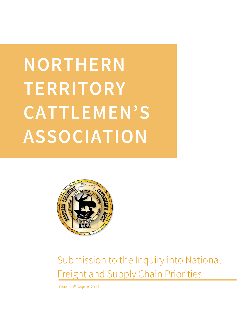# **NORTHERN TERRITORY CATTLEMEN'S ASSOCIATION**



### Submission to the Inquiry into National Freight and Supply Chain Priorities

Date: 10<sup>th</sup> August 2017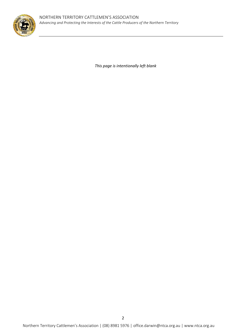

*This page is intentionally left blank*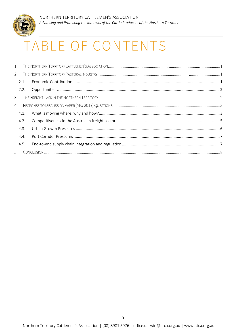

## TABLE OF CONTENTS

|    | 2.1. |  |
|----|------|--|
|    | 2.2. |  |
|    |      |  |
| 4. |      |  |
|    | 4.1. |  |
|    | 4.2. |  |
|    | 4.3. |  |
|    | 4.4. |  |
|    | 4.5. |  |
|    |      |  |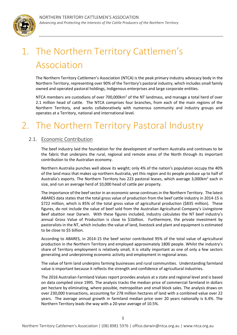

### 1. The Northern Territory Cattlemen's Association

The Northern Territory Cattlemen's Association (NTCA) is the peak primary industry advocacy body in the Northern Territory, representing over 90% of the Territory's pastoral industry, which includes small family owned and operated pastoral holdings, Indigenous enterprises and large corporate entities.

NTCA members are custodians of over 700,000 km<sup>2</sup> of the NT landmass, and manage a total herd of over 2.1 million head of cattle. The NTCA comprises four branches, from each of the main regions of the Northern Territory, and works collaboratively with numerous community and industry groups and operates at a Territory, national and international level.

### 2. The Northern Territory Pastoral Industry

#### <span id="page-3-0"></span>2.1. Economic Contribution

The beef industry laid the foundation for the development of northern Australia and continues to be the fabric that underpins the rural, regional and remote areas of the North through its important contribution to the Australian economy.

Northern Australia punches well above its weight; only 4% of the nation's population occupy the 40% of the land mass that makes up northern Australia, yet this region and its people produce up to half of Australia's exports. The Northern Territory has 223 pastoral leases, which average 3,000km<sup>2</sup> each in size, and run an average herd of 10,000 head of cattle per property.

The importance of the beef sector in an economic sense continues in the Northern Territory. The latest ABARES data states that the total gross value of production from the beef cattle industry in 2014-15 is \$722 million, which is 85% of the total gross value of agricultural production (\$835 million). These figures, do not include the value of beef sold from the Australian Agricultural Company's Livingstone Beef abattoir near Darwin. With these figures included, industry calculates the NT beef industry's annual Gross Value of Production is close to \$1billion. Furthermore, the private investment by pastoralists in the NT, which includes the value of land, livestock and plant and equipment is estimated to be close to \$5 billion.

According to ABARES, in 2014-15 the beef sector contributed 95% of the total value of agricultural production in the Northern Territory and employed approximately 1800 people. Whilst the industry's share of Territory employment is relatively small, it is vitally important as one of only a few sectors generating and underpinning economic activity and employment in regional areas.

The value of farm land underpins farming businesses and rural communities. Understanding farmland value is important because it reflects the strength and confidence of agricultural industries.

The 2016 Australian Farmland Values report provides analysis at a state and regional level and is based on data compiled since 1995. The analysis tracks the median price of commercial farmland in dollars per hectare by eliminating, where possible, metropolitan and small block sales. The analysis draws on over 230,000 transactions, accounting for 278 million hectares of land with a combined value over 22 years. The average annual growth in farmland median price over 20 years nationally is 6.4%. The Northern Territory leads the way with a 20-year average of 10.5%.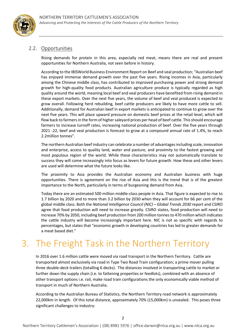

#### <span id="page-4-0"></span>2.2. Opportunities

Rising demands for protein in this area, especially red meat, means there are real and present opportunities for Northern Australia, not seen before in history.

According to the IBISWorld Business Environment Report on Beef and veal production; "Australian beef has enjoyed immense demand growth over the past five years. Rising incomes in Asia, particularly among the Chinese middle class, has contributed to improved purchasing power and strong demand growth for high-quality food products. Australian agriculture produce is typically regarded as high quality around the world, meaning local beef and veal producers have benefited from rising demand in these export markets. Over the next five years, the volume of beef and veal produced is expected to grow overall. Following herd rebuilding, beef cattle producers are likely to have more cattle to sell. Additionally, demand for Australian beef in export markets is anticipated to continue to grow over the next five years. This will place upward pressure on domestic beef prices at the retail level, which will flow back to farmers in the form of higher saleyard prices per head of beef cattle. This should encourage farmers to increase turnoff rates, increasing national production of beef. Over the five years through 2021 -22, beef and veal production is forecast to grow at a compound annual rate of 1.4%, to reach 2.2million tonnes"*.* 

The northern Australian beef industry can celebrate a number of advantages including scale, innovation and enterprise, access to quality land, water and pasture, and proximity to the fastest growing and most populous region of the world. While these characteristics may not automatically translate to success they will come increasingly into focus as levers for future growth. How these and other levers are used will determine what the future looks like.

The proximity to Asia provides the Australian economy and Australian business with huge opportunities. There is agreement on the rise of Asia and this is the trend that is of the greatest importance to the North, particularly in terms of burgeoning demand from Asia.

Today there are an estimated 500 million middle-class people in Asia. That figure is expected to rise to 1.7 billion by 2020 and to more than 3.2 billion by 2030 when they will account for 66 per cent of the global middle class. Both the *National Intelligence Council (NIC) – Global Trends 2030* report and CSIRO agree that food production will need to increase greatly. CSIRO states, food production will need to increase 70% by 2050, including beef production from 200 million tonnes to 470 million which indicates the cattle industry will become increasingly important here. NIC is not as specific with regards to percentages, but states that "economic growth in developing countries has led to greater demands for a meat based diet."

### 3. The Freight Task in the Northern Territory

In 2016 over 1.6 million cattle were moved via road transport in the Northern Territory. Cattle are transported almost exclusively via road in Type Two Road Train configuration; a prime mover pulling three double-deck trailers (totalling 6 decks). The distances involved in transporting cattle to market or further down the supply chain (i.e. to fattening properties or feedlots), combined with an absence of other transport options i.e. rail, make road train configurations the only economically viable method of transport in much of Northern Australia.

According to the Australian Bureau of Statistics, the Northern Territory road network is approximately 22,000km in length. Of this total distance, approximately 70% (15,000km) is unsealed. This poses three significant challenges to industry: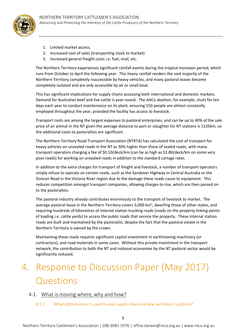

- 1. Limited market access,
- 2. Increased cost of sales (transporting stock to market)
- 3. Increased general freight costs i.e. fuel, mail, etc.

The Northern Territory experiences significant rainfall events during the tropical monsoon period, which runs from October to April the following year. This heavy rainfall renders the vast majority of the Northern Territory completely inaccessible by heavy vehicles, and many pastoral leases become completely isolated and are only accessible by air or small boat.

This has significant implications for supply chains accessing both international and domestic markets. Demand for Australian beef and live cattle is year-round. The AACo abattoir, for example, shuts for ten days each year to conduct maintenance on its plant, ensuring 150 people are almost constantly employed throughout the year, provided the facility has access to livestock.

Transport costs are among the largest expenses to pastoral enterprises, and can be up to 40% of the sale price of an animal in the NT given the average distance to port or slaughter for NT stations is 1135km, so the additional costs to pastoralists are significant.

The Northern Territory Road Transport Association (NTRTA) has calculated the cost of transport for heavy vehicles on unsealed roads in the NT as 30% higher than those of sealed roads, with many transport operators charging a fee of \$0.10/deck/km (can be as high as \$1.80/deck/km on some very poor roads) for working on unsealed roads in addition to the standard cartage rates.

In addition to the extra charges for transport of freight and livestock, a number of transport operators simply refuse to operate on certain roads, such as the Sandover Highway in Central Australia or the Duncan Road in the Victoria River region due to the damage these roads cause to equipment. This reduces competition amongst transport companies, allowing charges to rise, which are then passed on to the pastoralists.

The pastoral industry already contributes enormously to the transport of livestock to market. The average pastoral lease in the Northern Territory covers 3,000 km<sup>2</sup>, dwarfing those of other states, and requiring hundreds of kilometres of internal station trucking roads (roads on the property linking points of loading i.e. cattle yards) to access the public roads that service the property. These internal station roads are built and maintained by the pastoralist, despite the fact that the pastoral estate in the Northern Territory is owned by the crown.

Maintaining these roads requires significant capital investment in earthmoving machinery (or contractors), and road materials in some cases. Without this private investment in the transport network, the contribution to both the NT and national economies by the NT pastoral sector would be significantly reduced.

### 4. Response to Discussion Paper (May 2017) **Questions**

#### <span id="page-5-0"></span>4.1. What is moving where, why and how?

*4.1.1. What infrastructure is used in your supply chain and how well does it perform?*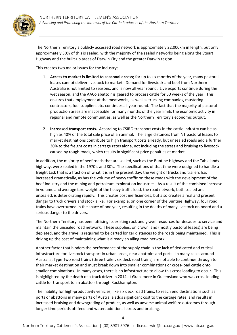

The Northern Territory's publicly accessed road network is approximately 22,000km in length, but only approximately 30% of this is sealed, with the majority of the sealed networks being along the Stuart Highway and the built-up areas of Darwin City and the greater Darwin region.

This creates two major issues for the industry;

- 1. **Access to market is limited to seasonal access**; for up to six months of the year, many pastoral leases cannot deliver livestock to market. Demand for livestock and beef from Northern Australia is not limited to seasons, and is now all year round. Live exports continue during the wet season, and the AACo abattoir is geared to process cattle for 50 weeks of the year. This ensures that employment at the meatworks, as well as trucking companies, mustering contractors, fuel suppliers etc. continues all year round. The fact that the majority of pastoral production areas are inaccessible for many months of the year limits the economic activity in regional and remote communities, as well as the Northern Territory's economic output.
- 2. **Increased transport costs.** According to CSIRO transport costs in the cattle industry can be as high as 40% of the total sale price of an animal. The large distances from NT pastoral leases to market destinations contribute to high transport costs already, but unsealed roads add a further 30% to the freight costs in cartage rates alone, not including the stress and bruising to livestock caused by rough roads, which results in significant price penalties at market.

In addition, the majority of beef roads that are sealed, such as the Buntine Highway and the Tablelands highway, were sealed in the 1970's and 80's. The specifications of that time were designed to handle a freight task that is a fraction of what it is in the present day; the weight of trucks and trailers has increased dramatically, as has the volume of heavy traffic on these roads with the development of the beef industry and the mining and petroleum exploration industries. As a result of the combined increase in volume and average tare weight of the heavy traffic load, the road network, both sealed and unsealed, is deteriorating rapidly. This creates cost inefficiencies, but also creates a real and present danger to truck drivers and stock alike. For example, on one corner of the Buntine Highway, four road trains have overturned in the space of one year, resulting in the deaths of many livestock on board and a serious danger to the drivers.

The Northern Territory has been utilising its existing rock and gravel resources for decades to service and maintain the unsealed road network. These supplies, on crown land (mostly pastoral leases) are being depleted, and the gravel is required to be carted longer distances to the roads being maintained. This is driving up the cost of maintaining what is already an ailing road network.

Another factor that hinders the performance of the supply chain is the lack of dedicated and critical infrastructure for livestock transport in urban areas, near abattoirs and ports. In many cases around Australia, Type Two road trains (three trailer, six deck road trains) are not able to continue through to their market destination and must break down into smaller combinations or cross-load cattle onto smaller combinations. In many cases, there is no infrastructure to allow this cross loading to occur. This is highlighted by the death of a truck driver in 2014 at Gracemere in Queensland who was cross loading cattle for transport to an abattoir through Rockhampton.

The inability for high-productivity vehicles, like six deck road trains, to reach end destinations such as ports or abattoirs in many parts of Australia adds significant cost to the cartage rates, and results in increased bruising and downgrading of product, as well as adverse animal welfare outcomes through longer time periods off feed and water, additional stress and bruising.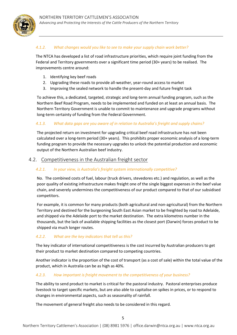

#### *4.1.2. What changes would you like to see to make your supply chain work better?*

The NTCA has developed a list of road infrastructure priorities, which require joint funding from the Federal and Territory governments over a significant time period (30+ years) to be realised. The improvements centre around:

- 1. Identifying key beef roads
- 2. Upgrading these roads to provide all-weather, year-round access to market
- 3. Improving the sealed network to handle the present-day and future freight task

To achieve this, a dedicated, targeted, strategic and long-term annual funding program, such as the Northern Beef Road Program, needs to be implemented and funded on at least an annual basis. The Northern Territory Government is unable to commit to maintenance and upgrade programs without long-term certainty of funding from the Federal Government.

#### *4.1.3. What data gaps are you aware of in relation to Australia's freight and supply chains?*

The projected return on investment for upgrading critical beef road infrastructure has not been calculated over a long-term period (30+ years). This prohibits proper economic analysis of a long-term funding program to provide the necessary upgrades to unlock the potential production and economic output of the Northern Australian beef industry.

#### <span id="page-7-0"></span>4.2. Competitiveness in the Australian freight sector

#### *4.2.1. In your view, is Australia's freight system internationally competitive?*

No. The combined costs of fuel, labour (truck drivers, stevedores etc.) and regulation, as well as the poor quality of existing infrastructure makes freight one of the single biggest expenses in the beef value chain, and severely undermines the competitiveness of our product compared to that of our subsidised competitors.

For example, it is common for many products (both agricultural and non-agricultural) from the Northern Territory and destined for the burgeoning South East Asian market to be freighted by road to Adelaide, and shipped via the Adelaide port to the market destination. The extra kilometres number in the thousands, but the lack of available shipping facilities as the closest port (Darwin) forces product to be shipped via much longer routes.

#### *4.2.2. What are the key indicators that tell us this?*

The key indicator of international competitiveness is the cost incurred by Australian producers to get their product to market destination compared to competing countries.

Another indicator is the proportion of the cost of transport (as a cost of sale) within the total value of the product, which in Australia can be as high as 40%.

#### *4.2.3. How important is freight movement to the competitiveness of your business?*

The ability to send product to market is critical for the pastoral industry. Pastoral enterprises produce livestock to target specific markets, but are also able to capitalise on spikes in prices, or to respond to changes in environmental aspects, such as seasonality of rainfall.

The movement of general freight also needs to be considered in this regard.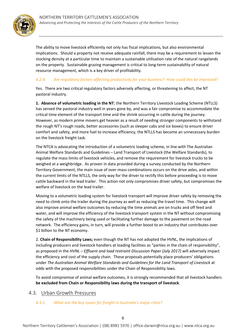

The ability to move livestock efficiently not only has fiscal implications, but also environmental implications. Should a property not receive adequate rainfall, there may be a requirement to lessen the stocking density at a particular time to maintain a sustainable utilisation rate of the natural rangelands on the property. Sustainable grazing management is critical to long-term sustainability of natural resource management, which is a key driver of profitability.

#### *4.2.4. Are regulatory factors affecting productivity for your business? How could this be improved?*

Yes. There are two critical regulatory factors adversely affecting, or threatening to affect, the NT pastoral industry.

**1. Absence of volumetric loading in the NT**; the Northern Territory Livestock Loading Scheme (NTLLS) has served the pastoral industry well in years gone by, and was a fair compromise to accommodate the critical time element of the transport time and the shrink occurring in cattle during the journey. However, as modern prime movers get heavier as a result of needing stronger components to withstand the rough NT's rough roads, better accessories (such as sleeper cabs and ice boxes) to ensure driver comfort and safety, and more fuel to increase efficiency, the NTLLS has become an unnecessary burden on the livestock freight task.

The NTCA is advocating the introduction of a volumetric loading scheme, in line with The Australian Animal Welfare Standards and Guidelines – Land Transport of Livestock (the Welfare Standards), to regulate the mass limits of livestock vehicles, and remove the requirement for livestock trucks to be weighed at a weighbridge. As proven in data provided during a survey conducted by the Northern Territory Government, the main issue of over-mass combinations occurs on the drive axles, and within the current limits of the NTLLS, the only way for the driver to rectify this before proceeding is to move cattle backward in the lead trailer. This action not only compromises driver safety, but compromises the welfare of livestock on the lead trailer.

Moving to a volumetric loading system for livestock transport will improve driver safety by removing the need to climb onto the trailer during the journey as well as reducing the travel time. This change will also improve animal welfare outcomes by reducing the time animals are on trucks and off feed and water, and will improve the efficiency of the livestock transport system in the NT without compromising the safety of the machinery being used or facilitating further damage to the pavement on the road network. The efficiency gains, in turn, will provide a further boost to an industry that contributes over \$1 billion to the NT economy.

2. **Chain of Responsibility Laws;** even though the NT has not adopted the HVNL, the implications of including producers and livestock handlers at loading facilities as "parties in the chain of responsibility", as proposed in the *HVNL – Effluent and load restraint Discussion Paper (July 2017)* will adversely impact the efficiency and cost of the supply chain. These proposals potentially place producers' obligations under *The Australian Animal Welfare Standards and Guidelines for the Land Transport of Livestock* at odds with the proposed responsibilities under the Chain of Responsibility laws.

To avoid compromise of animal welfare outcomes, it is strongly recommended that all livestock handlers **be excluded from Chain or Responsibility laws during the transport of livestock**.

#### <span id="page-8-0"></span>4.3. Urban Growth Pressures

#### *4.3.1. What are the key issues for freight in Australia's major cities?*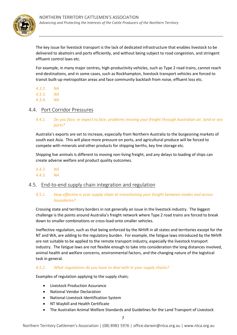

The key issue for livestock transport is the lack of dedicated infrastructure that enables livestock to be delivered to abattoirs and ports efficiently, and without being subject to road congestion, and stringent effluent control laws etc.

For example, in many major centres, high-productivity vehicles, such as Type 2 road trains, cannot reach end-destinations, and in some cases, such as Rockhampton, livestock transport vehicles are forced to transit built-up metropolitan areas and face community backlash from noise, effluent loss etc.

*4.3.2. NA*

*4.3.3. NA*

*4.3.4. NA*

#### <span id="page-9-0"></span>4.4. Port Corridor Pressures

#### *4.4.1. Do you face, or expect to face, problems moving your freight through Australian air, land or sea ports?*

Australia's exports are set to increase, especially from Northern Australia to the burgeoning markets of south east Asia. This will place more pressure on ports, and agricultural produce will be forced to compete with minerals and other products for shipping berths, key line storage etc.

Shipping live animals is different to moving non-living freight, and any delays to loading of ships can create adverse welfare and product quality outcomes.

*4.4.2. NA 4.4.3. NA*

#### <span id="page-9-1"></span>4.5. End-to-end supply chain integration and regulation

#### *4.5.1. How effective is your supply chain at transitioning your freight between modes and across boundaries?*

Crossing state and territory borders in not generally an issue in the livestock industry. The biggest challenge is the points around Australia's freight network where Type 2 road trains are forced to break down to smaller combinations or cross-load onto smaller vehicles.

Ineffective regulation, such as that being enforced by the NHVR in all states and territories except for the NT and WA, are adding to the regulatory burden. For example, the fatigue laws introduced by the NHVR are not suitable to be applied to the remote transport industry, especially the livestock transport industry. The fatigue laws are not flexible enough to take into consideration the long distances involved, animal health and welfare concerns, environmental factors, and the changing nature of the logistical task in general.

#### *4.5.2. What regulations do you have to deal with in your supply chains?*

Examples of regulation applying to the supply chain;

- Livestock Production Assurance
- National Vendor Declaration
- National Livestock Identification System
- NT Waybill and Health Certificate
- The Australian Animal Welfare Standards and Guidelines for the Land Transport of Livestock